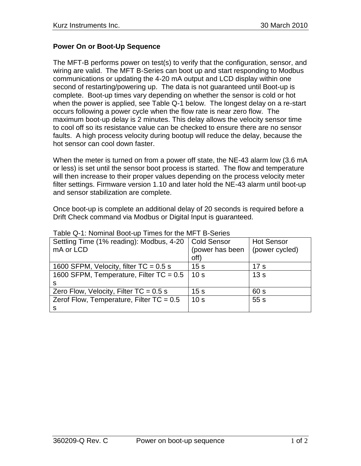## **Power On or Boot-Up Sequence**

The MFT-B performs power on test(s) to verify that the configuration, sensor, and wiring are valid. The MFT B-Series can boot up and start responding to Modbus communications or updating the 4-20 mA output and LCD display within one second of restarting/powering up. The data is not guaranteed until Boot-up is complete. Boot-up times vary depending on whether the sensor is cold or hot when the power is applied, see Table Q-1 below. The longest delay on a re-start occurs following a power cycle when the flow rate is near zero flow. The maximum boot-up delay is 2 minutes. This delay allows the velocity sensor time to cool off so its resistance value can be checked to ensure there are no sensor faults. A high process velocity during bootup will reduce the delay, because the hot sensor can cool down faster.

When the meter is turned on from a power off state, the NE-43 alarm low (3.6 mA or less) is set until the sensor boot process is started. The flow and temperature will then increase to their proper values depending on the process velocity meter filter settings. Firmware version 1.10 and later hold the NE-43 alarm until boot-up and sensor stabilization are complete.

Once boot-up is complete an additional delay of 20 seconds is required before a Drift Check command via Modbus or Digital Input is guaranteed.

| Settling Time (1% reading): Modbus, 4-20   | <b>Cold Sensor</b> | <b>Hot Sensor</b> |
|--------------------------------------------|--------------------|-------------------|
| mA or LCD                                  | (power has been    | (power cycled)    |
|                                            | off)               |                   |
| 1600 SFPM, Velocity, filter $TC = 0.5$ s   | 15 <sub>s</sub>    | 17 <sub>s</sub>   |
| 1600 SFPM, Temperature, Filter $TC = 0.5$  | 10 <sub>s</sub>    | 13s               |
| S                                          |                    |                   |
| Zero Flow, Velocity, Filter $TC = 0.5$ s   | 15 <sub>s</sub>    | 60 s              |
| Zerof Flow, Temperature, Filter $TC = 0.5$ | 10 <sub>s</sub>    | 55s               |
| S                                          |                    |                   |

Table Q-1: Nominal Boot-up Times for the MFT B-Series